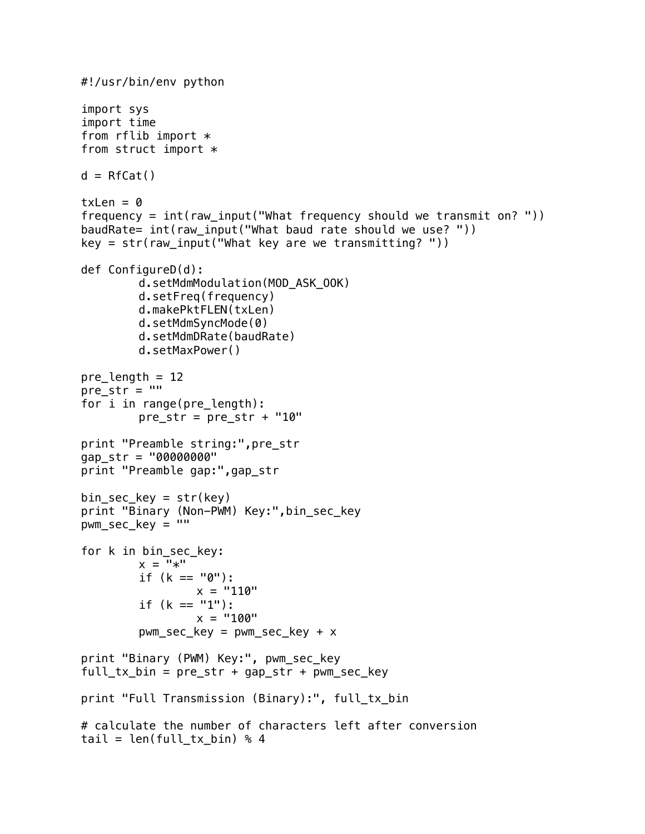```
#!/usr/bin/env python
import sys
import time
from rflib import *from struct import *d = RfCat()txLen = 0frequency = int(raw_input("What frequency should we transmit on? "))
baudRate= int(raw_input("What baud rate should we use? "))
key = str(raw\_input("What key are we transmitting? "))def ConfigureD(d):
        d.setMdmModulation(MOD_ASK_OOK)
        d.setFreq(frequency)
        d.makePktFLEN(txLen)
        d.setMdmSyncMode(0)
        d.setMdmDRate(baudRate)
        d.setMaxPower()
pre_length = 12
pre\_str = ""for i in range(pre_length):
        pre\_str = pre\_str + "10"print "Preamble string:",pre_str
gap_str = "00000000"
print "Preamble gap:",gap_str
bin\_sec\_key = str(key)print "Binary (Non-PWM) Key:",bin_sec_key
pwm\_sec\_key = """for k in bin_sec_key:
        x = "*"if (k == "0"):
                x = "110"if (k == "1"):
                 x = "100"pwm\_sec\_key = pwm\_sec\_key + xprint "Binary (PWM) Key:", pwm_sec_key
full\_tx\_bin = pre\_str + gap\_str + pwm\_sec\_keyprint "Full Transmission (Binary):", full_tx_bin
# calculate the number of characters left after conversion
tail = len(full_t x_bin) % 4
```